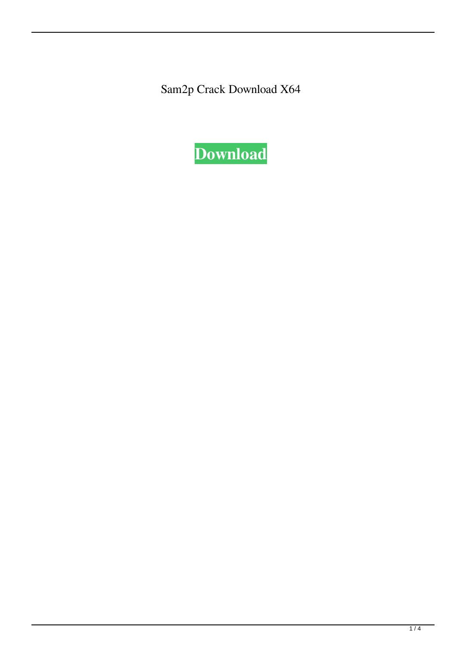Sam2p Crack Download X64

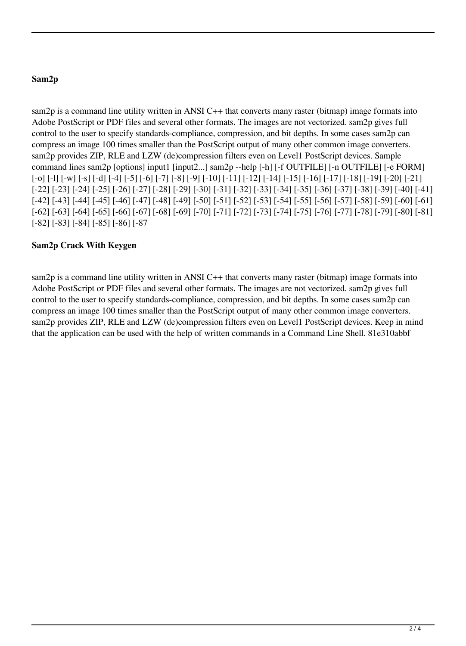# **Sam2p**

sam2p is a command line utility written in ANSI C++ that converts many raster (bitmap) image formats into Adobe PostScript or PDF files and several other formats. The images are not vectorized. sam2p gives full control to the user to specify standards-compliance, compression, and bit depths. In some cases sam2p can compress an image 100 times smaller than the PostScript output of many other common image converters. sam2p provides ZIP, RLE and LZW (de)compression filters even on Level1 PostScript devices. Sample command lines sam2p [options] input1 [input2...] sam2p --help [-h] [-f OUTFILE] [-n OUTFILE] [-e FORM] [-o] [-l] [-w] [-s] [-d] [-4] [-5] [-6] [-7] [-8] [-9] [-10] [-11] [-12] [-14] [-15] [-16] [-17] [-18] [-19] [-20] [-21] [-22] [-23] [-24] [-25] [-26] [-27] [-28] [-29] [-30] [-31] [-32] [-33] [-34] [-35] [-36] [-37] [-38] [-39] [-40] [-41] [-42] [-43] [-44] [-45] [-46] [-47] [-48] [-49] [-50] [-51] [-52] [-53] [-54] [-55] [-56] [-57] [-58] [-59] [-60] [-61] [-62] [-63] [-64] [-65] [-66] [-67] [-68] [-69] [-70] [-71] [-72] [-73] [-74] [-75] [-76] [-77] [-78] [-79] [-80] [-81] [-82] [-83] [-84] [-85] [-86] [-87

# **Sam2p Crack With Keygen**

sam2p is a command line utility written in ANSI C++ that converts many raster (bitmap) image formats into Adobe PostScript or PDF files and several other formats. The images are not vectorized. sam2p gives full control to the user to specify standards-compliance, compression, and bit depths. In some cases sam2p can compress an image 100 times smaller than the PostScript output of many other common image converters. sam2p provides ZIP, RLE and LZW (de)compression filters even on Level1 PostScript devices. Keep in mind that the application can be used with the help of written commands in a Command Line Shell. 81e310abbf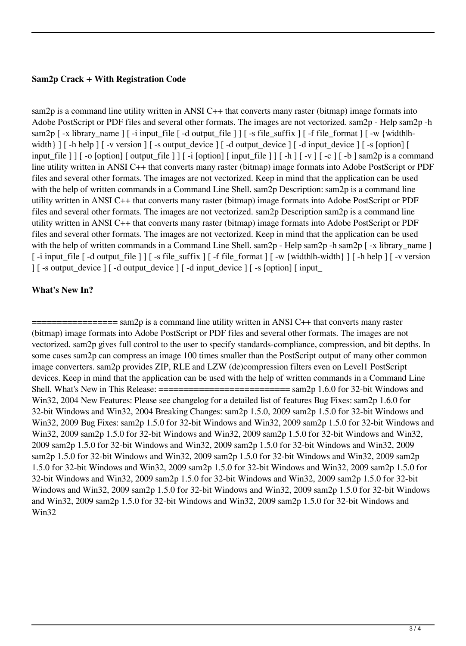### **Sam2p Crack + With Registration Code**

sam2p is a command line utility written in ANSI C++ that converts many raster (bitmap) image formats into Adobe PostScript or PDF files and several other formats. The images are not vectorized. sam2p - Help sam2p -h sam2p [-x library\_name ] [-i input\_file [-d output\_file ] ] [-s file\_suffix ] [-f file\_format ] [-w {width|hwidth  $\}$   $\lceil$  -h help  $\lceil$  -v version  $\lceil$  -s output\_device  $\lceil$  -d output\_device  $\lceil$  -d input\_device  $\lceil$  -s [option]  $\lceil$ input\_file ] ] [ -o [option] [ output\_file ] ] [ -i [option] [ input\_file ] ] [ -h ] [ -v ] [ -c ] [ -b ] sam2p is a command line utility written in ANSI C++ that converts many raster (bitmap) image formats into Adobe PostScript or PDF files and several other formats. The images are not vectorized. Keep in mind that the application can be used with the help of written commands in a Command Line Shell. sam2p Description: sam2p is a command line utility written in ANSI C++ that converts many raster (bitmap) image formats into Adobe PostScript or PDF files and several other formats. The images are not vectorized. sam2p Description sam2p is a command line utility written in ANSI C++ that converts many raster (bitmap) image formats into Adobe PostScript or PDF files and several other formats. The images are not vectorized. Keep in mind that the application can be used with the help of written commands in a Command Line Shell. sam2p - Help sam2p - h sam2p [ -x library\_name ] [ -i input\_file [ -d output\_file ] ] [ -s file\_suffix ] [ -f file\_format ] [ -w {width|h-width} ] [ -h help ] [ -v version ] [ -s output\_device ] [ -d output\_device ] [ -d input\_device ] [ -s [option] [ input\_

#### **What's New In?**

 $=$  sam2p is a command line utility written in ANSI C++ that converts many raster (bitmap) image formats into Adobe PostScript or PDF files and several other formats. The images are not vectorized. sam2p gives full control to the user to specify standards-compliance, compression, and bit depths. In some cases sam2p can compress an image 100 times smaller than the PostScript output of many other common image converters. sam2p provides ZIP, RLE and LZW (de)compression filters even on Level1 PostScript devices. Keep in mind that the application can be used with the help of written commands in a Command Line Shell. What's New in This Release:  $=$  ============================ sam2p 1.6.0 for 32-bit Windows and Win32, 2004 New Features: Please see changelog for a detailed list of features Bug Fixes: sam2p 1.6.0 for 32-bit Windows and Win32, 2004 Breaking Changes: sam2p 1.5.0, 2009 sam2p 1.5.0 for 32-bit Windows and Win32, 2009 Bug Fixes: sam2p 1.5.0 for 32-bit Windows and Win32, 2009 sam2p 1.5.0 for 32-bit Windows and Win32, 2009 sam2p 1.5.0 for 32-bit Windows and Win32, 2009 sam2p 1.5.0 for 32-bit Windows and Win32, 2009 sam2p 1.5.0 for 32-bit Windows and Win32, 2009 sam2p 1.5.0 for 32-bit Windows and Win32, 2009 sam2p 1.5.0 for 32-bit Windows and Win32, 2009 sam2p 1.5.0 for 32-bit Windows and Win32, 2009 sam2p 1.5.0 for 32-bit Windows and Win32, 2009 sam2p 1.5.0 for 32-bit Windows and Win32, 2009 sam2p 1.5.0 for 32-bit Windows and Win32, 2009 sam2p 1.5.0 for 32-bit Windows and Win32, 2009 sam2p 1.5.0 for 32-bit Windows and Win32, 2009 sam2p 1.5.0 for 32-bit Windows and Win32, 2009 sam2p 1.5.0 for 32-bit Windows and Win32, 2009 sam2p 1.5.0 for 32-bit Windows and Win32, 2009 sam2p 1.5.0 for 32-bit Windows and Win32